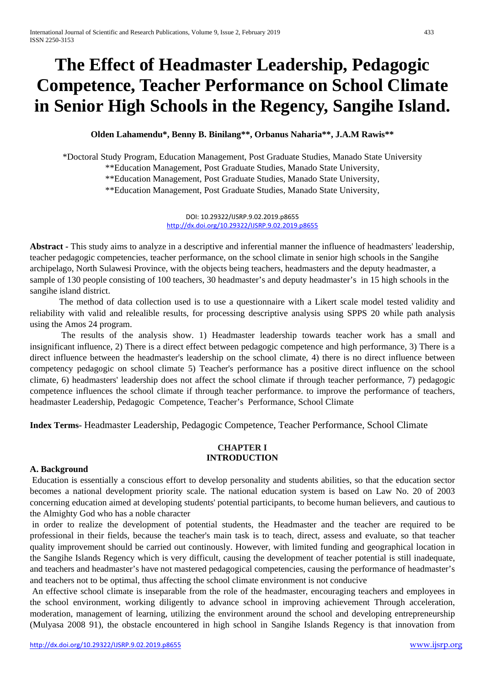# **The Effect of Headmaster Leadership, Pedagogic Competence, Teacher Performance on School Climate in Senior High Schools in the Regency, Sangihe Island.**

#### **Olden Lahamendu\*, Benny B. Binilang\*\*, Orbanus Naharia\*\*, J.A.M Rawis\*\***

\*Doctoral Study Program, Education Management, Post Graduate Studies, Manado State University \*\*Education Management, Post Graduate Studies, Manado State University, \*\*Education Management, Post Graduate Studies, Manado State University, \*\*Education Management, Post Graduate Studies, Manado State University,

> DOI: 10.29322/IJSRP.9.02.2019.p8655 <http://dx.doi.org/10.29322/IJSRP.9.02.2019.p8655>

**Abstract -** This study aims to analyze in a descriptive and inferential manner the influence of headmasters' leadership, teacher pedagogic competencies, teacher performance, on the school climate in senior high schools in the Sangihe archipelago, North Sulawesi Province, with the objects being teachers, headmasters and the deputy headmaster, a sample of 130 people consisting of 100 teachers, 30 headmaster's and deputy headmaster's in 15 high schools in the sangihe island district.

The method of data collection used is to use a questionnaire with a Likert scale model tested validity and reliability with valid and relealible results, for processing descriptive analysis using SPPS 20 while path analysis using the Amos 24 program.

The results of the analysis show. 1) Headmaster leadership towards teacher work has a small and insignificant influence, 2) There is a direct effect between pedagogic competence and high performance, 3) There is a direct influence between the headmaster's leadership on the school climate, 4) there is no direct influence between competency pedagogic on school climate 5) Teacher's performance has a positive direct influence on the school climate, 6) headmasters' leadership does not affect the school climate if through teacher performance, 7) pedagogic competence influences the school climate if through teacher performance. to improve the performance of teachers, headmaster Leadership, Pedagogic Competence, Teacher's Performance, School Climate

**Index Terms-** Headmaster Leadership, Pedagogic Competence, Teacher Performance, School Climate

#### **CHAPTER I INTRODUCTION**

#### **A. Background**

Education is essentially a conscious effort to develop personality and students abilities, so that the education sector becomes a national development priority scale. The national education system is based on Law No. 20 of 2003 concerning education aimed at developing students' potential participants, to become human believers, and cautious to the Almighty God who has a noble character

in order to realize the development of potential students, the Headmaster and the teacher are required to be professional in their fields, because the teacher's main task is to teach, direct, assess and evaluate, so that teacher quality improvement should be carried out continously. However, with limited funding and geographical location in the Sangihe Islands Regency which is very difficult, causing the development of teacher potential is still inadequate, and teachers and headmaster's have not mastered pedagogical competencies, causing the performance of headmaster's and teachers not to be optimal, thus affecting the school climate environment is not conducive

An effective school climate is inseparable from the role of the headmaster, encouraging teachers and employees in the school environment, working diligently to advance school in improving achievement Through acceleration, moderation, management of learning, utilizing the environment around the school and developing entrepreneurship (Mulyasa 2008 91), the obstacle encountered in high school in Sangihe Islands Regency is that innovation from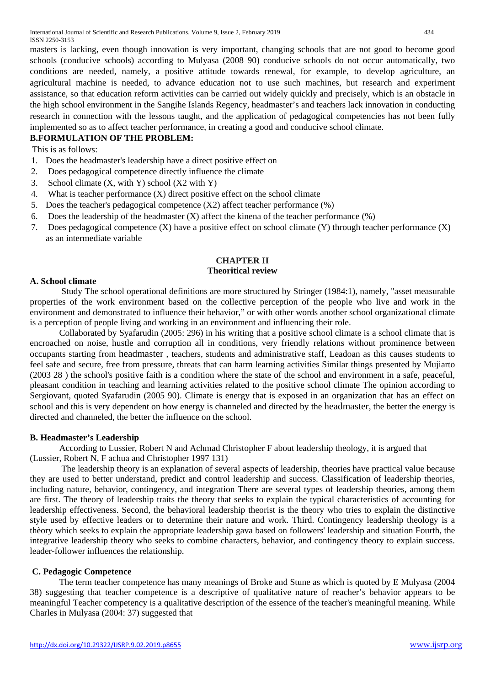masters is lacking, even though innovation is very important, changing schools that are not good to become good schools (conducive schools) according to Mulyasa (2008 90) conducive schools do not occur automatically, two conditions are needed, namely, a positive attitude towards renewal, for example, to develop agriculture, an agricultural machine is needed, to advance education not to use such machines, but research and experiment assistance, so that education reform activities can be carried out widely quickly and precisely, which is an obstacle in the high school environment in the Sangihe Islands Regency, headmaster's and teachers lack innovation in conducting research in connection with the lessons taught, and the application of pedagogical competencies has not been fully implemented so as to affect teacher performance, in creating a good and conducive school climate.

# **B.FORMULATION OF THE PROBLEM:**

This is as follows:

- 1. Does the headmaster's leadership have a direct positive effect on
- 2. Does pedagogical competence directly influence the climate
- 3. School climate  $(X, with Y)$  school  $(X2 with Y)$
- 4. What is teacher performance (X) direct positive effect on the school climate
- 5. Does the teacher's pedagogical competence (X2) affect teacher performance (%)
- 6. Does the leadership of the headmaster  $(X)$  affect the kinena of the teacher performance  $(\%)$
- 7. Does pedagogical competence (X) have a positive effect on school climate (Y) through teacher performance (X) as an intermediate variable

#### **CHAPTER II Theoritical review**

#### **A. School climate**

Study The school operational definitions are more structured by Stringer (1984:1), namely, "asset measurable properties of the work environment based on the collective perception of the people who live and work in the environment and demonstrated to influence their behavior," or with other words another school organizational climate is a perception of people living and working in an environment and influencing their role.

Collaborated by Syafarudin (2005: 296) in his writing that a positive school climate is a school climate that is encroached on noise, hustle and corruption all in conditions, very friendly relations without prominence between occupants starting from headmaster , teachers, students and administrative staff, Leadoan as this causes students to feel safe and secure, free from pressure, threats that can harm learning activities Similar things presented by Mujiarto (2003 28 ) the school's positive faith is a condition where the state of the school and environment in a safe, peaceful, pleasant condition in teaching and learning activities related to the positive school climate The opinion according to Sergiovant, quoted Syafarudin (2005 90). Climate is energy that is exposed in an organization that has an effect on school and this is very dependent on how energy is channeled and directed by the headmaster, the better the energy is directed and channeled, the better the influence on the school.

#### **B. Headmaster's Leadership**

According to Lussier, Robert N and Achmad Christopher F about leadership theology, it is argued that (Lussier, Robert N, F achua and Christopher 1997 131)

The leadership theory is an explanation of several aspects of leadership, theories have practical value because they are used to better understand, predict and control leadership and success. Classification of leadership theories, including nature, behavior, contingency, and integration There are several types of leadership theories, among them are first. The theory of leadership traits the theory that seeks to explain the typical characteristics of accounting for leadership effectiveness. Second, the behavioral leadership theorist is the theory who tries to explain the distinctive style used by effective leaders or to determine their nature and work. Third. Contingency leadership theology is a thèory which seeks to explain the appropriate leadership gava based on followers' leadership and situation Fourth, the integrative leadership theory who seeks to combine characters, behavior, and contingency theory to explain success. leader-follower influences the relationship.

#### **C. Pedagogic Competence**

The term teacher competence has many meanings of Broke and Stune as which is quoted by E Mulyasa (2004 38) suggesting that teacher competence is a descriptive of qualitative nature of reacher's behavior appears to be meaningful Teacher competency is a qualitative description of the essence of the teacher's meaningful meaning. While Charles in Mulyasa (2004: 37) suggested that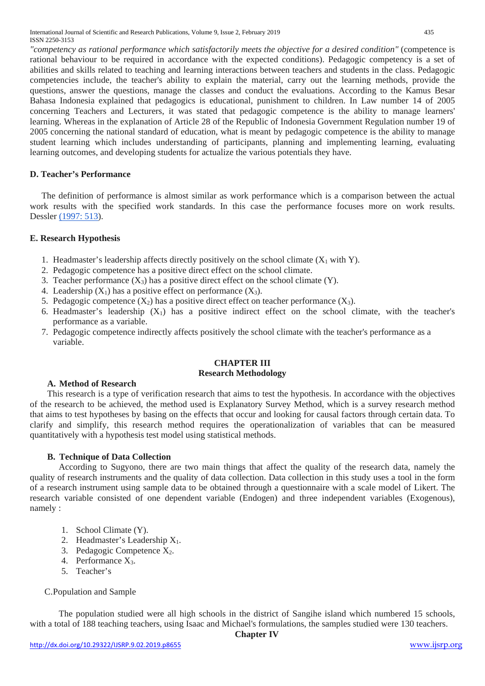International Journal of Scientific and Research Publications, Volume 9, Issue 2, February 2019 435 ISSN 2250-3153

*"competency as rational performance which satisfactorily meets the objective for a desired condition"* (competence is rational behaviour to be required in accordance with the expected conditions). Pedagogic competency is a set of abilities and skills related to teaching and learning interactions between teachers and students in the class. Pedagogic competencies include, the teacher's ability to explain the material, carry out the learning methods, provide the questions, answer the questions, manage the classes and conduct the evaluations. According to the Kamus Besar Bahasa Indonesia explained that pedagogics is educational, punishment to children. In Law number 14 of 2005 concerning Teachers and Lecturers, it was stated that pedagogic competence is the ability to manage learners' learning. Whereas in the explanation of Article 28 of the Republic of Indonesia Government Regulation number 19 of 2005 concerning the national standard of education, what is meant by pedagogic competence is the ability to manage student learning which includes understanding of participants, planning and implementing learning, evaluating learning outcomes, and developing students for actualize the various potentials they have.

#### **D. Teacher's Performance**

The definition of performance is almost similar as work performance which is a comparison between the actual work results with the specified work standards. In this case the performance focuses more on work results. Dessler [\(1997: 513\)](tel:1997513).

#### **E. Research Hypothesis**

- 1. Headmaster's leadership affects directly positively on the school climate  $(X_1 \text{ with } Y)$ .
- 2. Pedagogic competence has a positive direct effect on the school climate.
- 3. Teacher performance  $(X_3)$  has a positive direct effect on the school climate  $(Y)$ .
- 4. Leadership  $(X_1)$  has a positive effect on performance  $(X_3)$ .
- 5. Pedagogic competence  $(X_2)$  has a positive direct effect on teacher performance  $(X_3)$ .
- 6. Headmaster's leadership  $(X_1)$  has a positive indirect effect on the school climate, with the teacher's performance as a variable.
- 7. Pedagogic competence indirectly affects positively the school climate with the teacher's performance as a variable.

#### **CHAPTER III Research Methodology**

#### **A. Method of Research**

This research is a type of verification research that aims to test the hypothesis. In accordance with the objectives of the research to be achieved, the method used is Explanatory Survey Method, which is a survey research method that aims to test hypotheses by basing on the effects that occur and looking for causal factors through certain data. To clarify and simplify, this research method requires the operationalization of variables that can be measured quantitatively with a hypothesis test model using statistical methods.

# **B. Technique of Data Collection**

According to Sugyono, there are two main things that affect the quality of the research data, namely the quality of research instruments and the quality of data collection. Data collection in this study uses a tool in the form of a research instrument using sample data to be obtained through a questionnaire with a scale model of Likert. The research variable consisted of one dependent variable (Endogen) and three independent variables (Exogenous), namely :

- 1. School Climate (Y).
- 2. Headmaster's Leadership  $X_1$ .
- 3. Pedagogic Competence  $X_2$ .
- 4. Performance X3.
- 5. Teacher's

#### C.Population and Sample

The population studied were all high schools in the district of Sangihe island which numbered 15 schools, with a total of 188 teaching teachers, using Isaac and Michael's formulations, the samples studied were 130 teachers.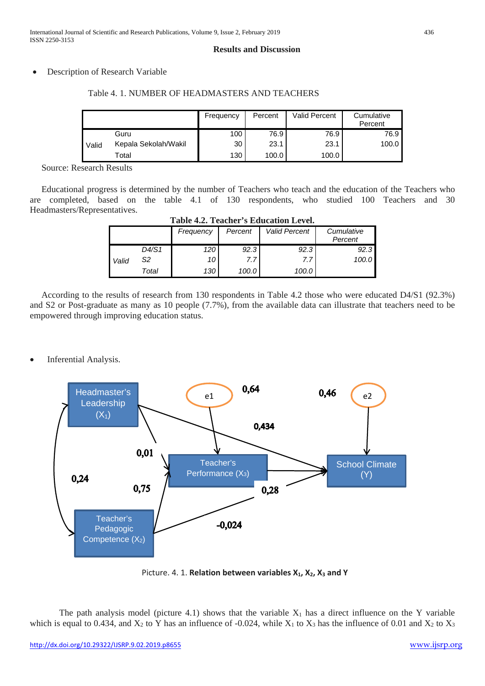#### **Results and Discussion**

#### Description of Research Variable

|       |                      | Frequency | Percent | Valid Percent | Cumulative<br>Percent |
|-------|----------------------|-----------|---------|---------------|-----------------------|
|       | Guru                 | 100       | 76.9    | 76.9          | 76.9                  |
| Valid | Kepala Sekolah/Wakil | 30        | 23.1    | 23.1          | 100.0                 |
|       | Total                | 130       | 100.0   | 100.0         |                       |

#### Table 4. 1. NUMBER OF HEADMASTERS AND TEACHERS

Source: Research Results

Educational progress is determined by the number of Teachers who teach and the education of the Teachers who are completed, based on the table 4.1 of 130 respondents, who studied 100 Teachers and 30 Headmasters/Representatives.

| Table 4.2. Teacher's Education Level. |       |           |         |                      |                       |  |  |  |
|---------------------------------------|-------|-----------|---------|----------------------|-----------------------|--|--|--|
|                                       |       | Frequency | Percent | <b>Valid Percent</b> | Cumulative<br>Percent |  |  |  |
|                                       | D4/S1 | 120       | 92.3    | 92.3                 | 92.3                  |  |  |  |
| Valid                                 | S2    | 10        | 7.7     | 7.7                  | 100.0                 |  |  |  |
|                                       | Total | 130       | 100.0   | 100.0                |                       |  |  |  |

**Table 4.2. Teacher's Education Level.**

According to the results of research from 130 respondents in Table 4.2 those who were educated D4/S1 (92.3%) and S2 or Post-graduate as many as 10 people (7.7%), from the available data can illustrate that teachers need to be empowered through improving education status.

Inferential Analysis.



Picture. 4. 1. **Relation between variables X<sub>1</sub>, X<sub>2</sub>, X<sub>3</sub> and Y** 

The path analysis model (picture 4.1) shows that the variable  $X_1$  has a direct influence on the Y variable which is equal to 0.434, and  $X_2$  to Y has an influence of -0.024, while  $X_1$  to  $X_3$  has the influence of 0.01 and  $X_2$  to  $X_3$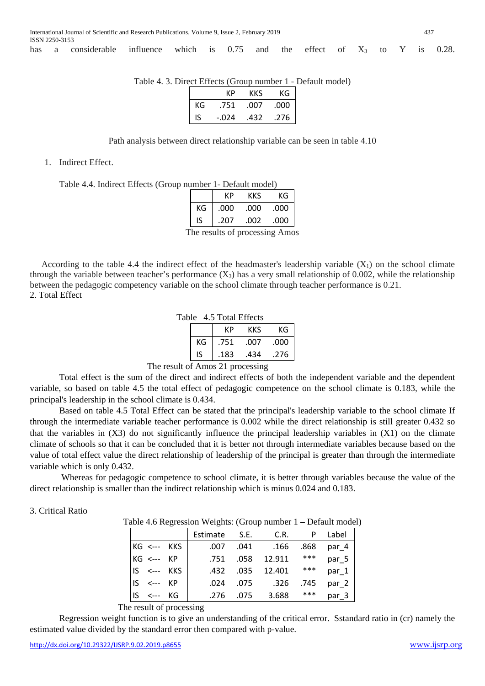has a considerable influence which is  $0.75$  and the effect of  $X_3$  to Y is 0.28.

|  |  | Table 4. 3. Direct Effects (Group number 1 - Default model) |
|--|--|-------------------------------------------------------------|
|  |  |                                                             |

|    | КÞ      | ĸĸs  | КG   |
|----|---------|------|------|
| КG | .751    | .007 | .000 |
| IS | $-.024$ | .432 | .276 |

Path analysis between direct relationship variable can be seen in table 4.10

1. Indirect Effect.

Table 4.4. Indirect Effects (Group number 1- Default model)

|    | КP   | KKS  | КG   |
|----|------|------|------|
| KG | .000 | .000 | .000 |
| IS | .207 | .002 | .000 |
|    |      |      |      |

The results of processing Amos

According to the table 4.4 the indirect effect of the headmaster's leadership variable  $(X_1)$  on the school climate through the variable between teacher's performance  $(X_3)$  has a very small relationship of 0.002, while the relationship between the pedagogic competency variable on the school climate through teacher performance is 0.21. 2. Total Effect

|  |  |  | Table 4.5 Total Effects |
|--|--|--|-------------------------|
|--|--|--|-------------------------|

|    | КÞ   | KKS  | ΚG   |
|----|------|------|------|
| КG | .751 | .007 | .000 |
| ıs | .183 | .434 | .276 |

The result of Amos 21 processing

Total effect is the sum of the direct and indirect effects of both the independent variable and the dependent variable, so based on table 4.5 the total effect of pedagogic competence on the school climate is 0.183, while the principal's leadership in the school climate is 0.434.

Based on table 4.5 Total Effect can be stated that the principal's leadership variable to the school climate If through the intermediate variable teacher performance is 0.002 while the direct relationship is still greater 0.432 so that the variables in  $(X3)$  do not significantly influence the principal leadership variables in  $(X1)$  on the climate climate of schools so that it can be concluded that it is better not through intermediate variables because based on the value of total effect value the direct relationship of leadership of the principal is greater than through the intermediate variable which is only 0.432.

Whereas for pedagogic competence to school climate, it is better through variables because the value of the direct relationship is smaller than the indirect relationship which is minus 0.024 and 0.183.

#### 3. Critical Ratio

Table 4.6 Regression Weights: (Group number 1 – Default model)

|                     | Estimate S.E. C.R. |           |                  |      | P Label |
|---------------------|--------------------|-----------|------------------|------|---------|
| $KG \leftarrow$ KKS | .007               |           | .041 .166        | .868 | par 4   |
| KG <--- KP          | .751 .058          |           | 12.911           | ***  | par 5   |
| $IS \leftarrow$ KKS |                    |           | .432 .035 12.401 | ***  | par 1   |
| $IS \leftarrow$ KP  | .024               | .075      | .326             | .745 | par 2   |
| $IS \leftarrow$ KG  |                    | .276 .075 | 3.688            | ***  | par 3   |

The result of processing

Regression weight function is to give an understanding of the critical error. Sstandard ratio in (cr) namely the estimated value divided by the standard error then compared with p-value.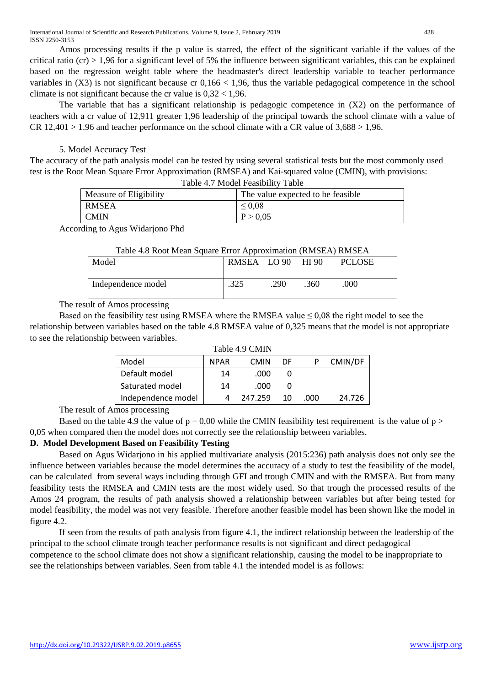Amos processing results if the p value is starred, the effect of the significant variable if the values of the critical ratio (cr)  $> 1.96$  for a significant level of 5% the influence between significant variables, this can be explained based on the regression weight table where the headmaster's direct leadership variable to teacher performance variables in  $(X3)$  is not significant because cr  $0,166 < 1,96$ , thus the variable pedagogical competence in the school climate is not significant because the cr value is  $0.32 < 1.96$ .

The variable that has a significant relationship is pedagogic competence in (X2) on the performance of teachers with a cr value of 12,911 greater 1,96 leadership of the principal towards the school climate with a value of  $CR 12,401 > 1.96$  and teacher performance on the school climate with a CR value of  $3,688 > 1,96$ .

# 5. Model Accuracy Test

The accuracy of the path analysis model can be tested by using several statistical tests but the most commonly used test is the Root Mean Square Error Approximation (RMSEA) and Kai-squared value (CMIN), with provisions: Table 4.7 Model Feasibility Table

| $14010 + 7.7$ $1100001$ $100001$ |                                    |  |  |  |  |
|----------------------------------|------------------------------------|--|--|--|--|
| Measure of Eligibility           | The value expected to be feasible. |  |  |  |  |
| <b>RMSEA</b>                     | $\leq 0.08$                        |  |  |  |  |
| <b>CMIN</b>                      | P > 0.05                           |  |  |  |  |

According to Agus Widarjono Phd

#### Table 4.8 Root Mean Square Error Approximation (RMSEA) RMSEA

| Model              | RMSEA LO 90 |      | HI 90 | <b>PCLOSE</b> |  |
|--------------------|-------------|------|-------|---------------|--|
| Independence model | .325        | .290 | .360  | 000           |  |

The result of Amos processing

Based on the feasibility test using RMSEA where the RMSEA value  $\leq 0.08$  the right model to see the relationship between variables based on the table 4.8 RMSEA value of 0,325 means that the model is not appropriate to see the relationship between variables.

| Table 4.9 CMIN     |             |             |    |      |         |  |  |
|--------------------|-------------|-------------|----|------|---------|--|--|
| Model              | <b>NPAR</b> | <b>CMIN</b> | DF |      | CMIN/DF |  |  |
| Default model      | 14          | .000        |    |      |         |  |  |
| Saturated model    | 14          | .000        |    |      |         |  |  |
| Independence model | Δ           | 247.259     | 10 | .000 | 24.726  |  |  |

The result of Amos processing

Based on the table 4.9 the value of  $p = 0.00$  while the CMIN feasibility test requirement is the value of  $p >$ 0,05 when compared then the model does not correctly see the relationship between variables.

# **D. Model Development Based on Feasibility Testing**

Based on Agus Widarjono in his applied multivariate analysis (2015:236) path analysis does not only see the influence between variables because the model determines the accuracy of a study to test the feasibility of the model, can be calculated from several ways including through GFI and trough CMIN and with the RMSEA. But from many feasibility tests the RMSEA and CMIN tests are the most widely used. So that trough the processed results of the Amos 24 program, the results of path analysis showed a relationship between variables but after being tested for model feasibility, the model was not very feasible. Therefore another feasible model has been shown like the model in figure 4.2.

If seen from the results of path analysis from figure 4.1, the indirect relationship between the leadership of the principal to the school climate trough teacher performance results is not significant and direct pedagogical competence to the school climate does not show a significant relationship, causing the model to be inappropriate to see the relationships between variables. Seen from table 4.1 the intended model is as follows: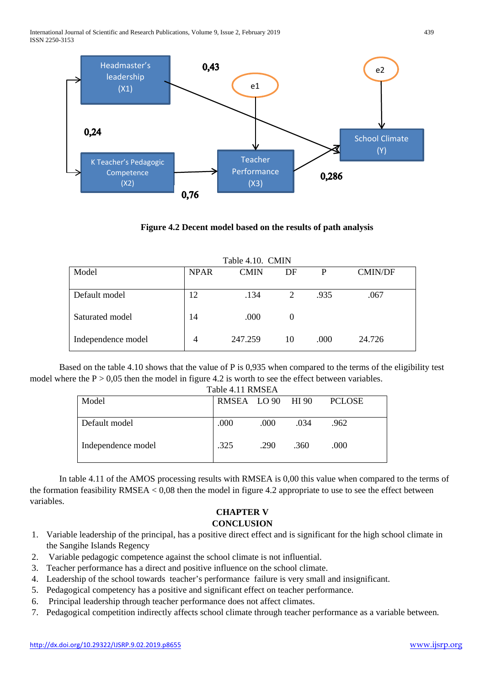International Journal of Scientific and Research Publications, Volume 9, Issue 2, February 2019 439 ISSN 2250-3153



#### **Figure 4.2 Decent model based on the results of path analysis**

Table 4.10. CMIN

| Table 4.10. CMIN   |             |             |          |      |                |  |  |
|--------------------|-------------|-------------|----------|------|----------------|--|--|
| Model              | <b>NPAR</b> | <b>CMIN</b> | DF       | P    | <b>CMIN/DF</b> |  |  |
|                    |             |             |          |      |                |  |  |
| Default model      | 12          | .134        |          | .935 | .067           |  |  |
| Saturated model    | 14          | .000        | $\theta$ |      |                |  |  |
| Independence model |             | 247.259     | 10       | .000 | 24.726         |  |  |

Based on the table 4.10 shows that the value of P is 0,935 when compared to the terms of the eligibility test model where the  $P > 0.05$  then the model in figure 4.2 is worth to see the effect between variables.

| Table 4.11 RMSEA   |                   |      |      |               |
|--------------------|-------------------|------|------|---------------|
| Model              | RMSEA LO 90 HI 90 |      |      | <b>PCLOSE</b> |
|                    |                   |      |      |               |
| Default model      | .000              | .000 | .034 | .962          |
|                    |                   |      |      |               |
| Independence model | .325              | .290 | .360 | .000          |
|                    |                   |      |      |               |

In table 4.11 of the AMOS processing results with RMSEA is 0,00 this value when compared to the terms of the formation feasibility RMSEA < 0,08 then the model in figure 4.2 appropriate to use to see the effect between variables.

# **CHAPTER V**

# **CONCLUSION**

- 1. Variable leadership of the principal, has a positive direct effect and is significant for the high school climate in the Sangihe Islands Regency
- 2. Variable pedagogic competence against the school climate is not influential.
- 3. Teacher performance has a direct and positive influence on the school climate.
- 4. Leadership of the school towards teacher's performance failure is very small and insignificant.
- 5. Pedagogical competency has a positive and significant effect on teacher performance.
- 6. Principal leadership through teacher performance does not affect climates.
- 7. Pedagogical competition indirectly affects school climate through teacher performance as a variable between.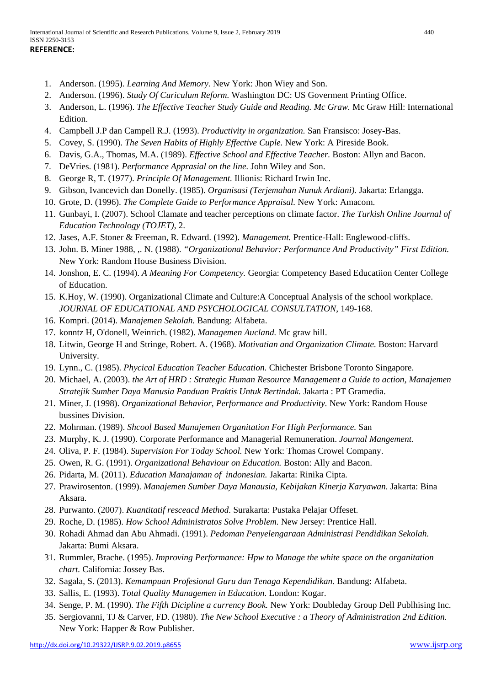- 1. Anderson. (1995). *Learning And Memory.* New York: Jhon Wiey and Son.
- 2. Anderson. (1996). *Study Of Curiculum Reform.* Washington DC: US Goverment Printing Office.
- 3. Anderson, L. (1996). *The Effective Teacher Study Guide and Reading. Mc Graw.* Mc Graw Hill: International Edition.
- 4. Campbell J.P dan Campell R.J. (1993). *Productivity in organization.* San Fransisco: Josey-Bas.
- 5. Covey, S. (1990). *The Seven Habits of Highly Effective Cuple.* New York: A Pireside Book.
- 6. Davis, G.A., Thomas, M.A. (1989). *Effective School and Effective Teacher.* Boston: Allyn and Bacon.
- 7. DeVries. (1981). *Performance Apprasial on the line.* John Wiley and Son.
- 8. George R, T. (1977). *Principle Of Management.* Illionis: Richard Irwin Inc.
- 9. Gibson, Ivancevich dan Donelly. (1985). *Organisasi (Terjemahan Nunuk Ardiani).* Jakarta: Erlangga.
- 10. Grote, D. (1996). *The Complete Guide to Performance Appraisal.* New York: Amacom.
- 11. Gunbayi, I. (2007). School Clamate and teacher perceptions on climate factor. *The Turkish Online Journal of Education Technology (TOJET)*, 2.
- 12. Jases, A.F. Stoner & Freeman, R. Edward. (1992). *Management.* Prentice-Hall: Englewood-cliffs.
- 13. John. B. Miner 1988, ,. N. (1988). *"Organizational Behavior: Performance And Productivity" First Edition.* New York: Random House Business Division.
- 14. Jonshon, E. C. (1994). *A Meaning For Competency.* Georgia: Competency Based Educatiion Center College of Education.
- 15. K.Hoy, W. (1990). Organizational Climate and Culture:A Conceptual Analysis of the school workplace. *JOURNAL OF EDUCATIONAL AND PSYCHOLOGICAL CONSULTATION*, 149-168.
- 16. Kompri. (2014). *Manajemen Sekolah.* Bandung: Alfabeta.
- 17. konntz H, O'donell, Weinrich. (1982). *Managemen Aucland.* Mc graw hill.
- 18. Litwin, George H and Stringe, Robert. A. (1968). *Motivatian and Organization Climate.* Boston: Harvard University.
- 19. Lynn., C. (1985). *Phycical Education Teacher Education.* Chichester Brisbone Toronto Singapore.
- 20. Michael, A. (2003). *the Art of HRD : Strategic Human Resource Management a Guide to action, Manajemen Stratejik Sumber Daya Manusia Panduan Praktis Untuk Bertindak.* Jakarta : PT Gramedia.
- 21. Miner, J. (1998). *Organizational Behavior, Performance and Productivity.* New York: Random House bussines Division.
- 22. Mohrman. (1989). *Shcool Based Manajemen Organitation For High Performance.* San
- 23. Murphy, K. J. (1990). Corporate Performance and Managerial Remuneration. *Journal Mangement*.
- 24. Oliva, P. F. (1984). *Supervision For Today School.* New York: Thomas Crowel Company.
- 25. Owen, R. G. (1991). *Organizational Behaviour on Education.* Boston: Ally and Bacon.
- 26. Pidarta, M. (2011). *Education Manajaman of indonesian.* Jakarta: Rinika Cipta.
- 27. Prawirosenton. (1999). *Manajemen Sumber Daya Manausia, Kebijakan Kinerja Karyawan.* Jakarta: Bina Aksara.
- 28. Purwanto. (2007). *Kuantitatif resceacd Method.* Surakarta: Pustaka Pelajar Offeset.
- 29. Roche, D. (1985). *How School Administratos Solve Problem.* New Jersey: Prentice Hall.
- 30. Rohadi Ahmad dan Abu Ahmadi. (1991). *Pedoman Penyelengaraan Administrasi Pendidikan Sekolah.* Jakarta: Bumi Aksara.
- 31. Rummler, Brache. (1995). *Improving Performance: Hpw to Manage the white space on the organitation chart.* California: Jossey Bas.
- 32. Sagala, S. (2013). *Kemampuan Profesional Guru dan Tenaga Kependidikan.* Bandung: Alfabeta.
- 33. Sallis, E. (1993). *Total Quality Managemen in Education.* London: Kogar.
- 34. Senge, P. M. (1990). *The Fifth Dicipline a currency Book.* New York: Doubleday Group Dell Publhising Inc.
- 35. Sergiovanni, TJ & Carver, FD. (1980). *The New School Executive : a Theory of Administration 2nd Edition.* New York: Happer & Row Publisher.